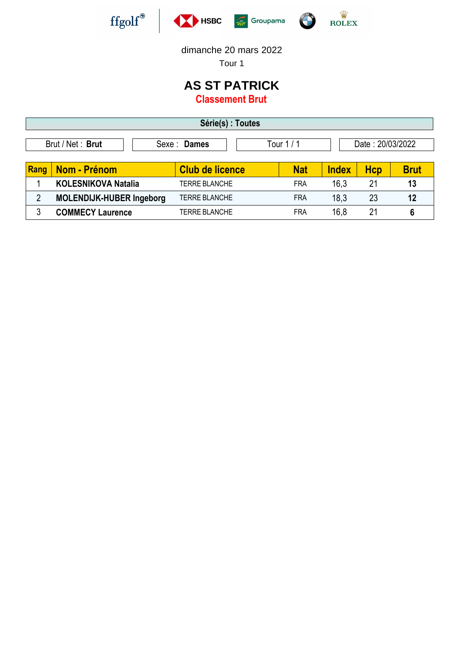





dimanche 20 mars 2022

Tour 1

## **AS ST PATRICK Classement Brut**

**Série(s) : Toutes** Brut / Net : **Brut** Sexe : **Dames** Tour 1 / 1 Date : 20/03/2022 **Rang Nom - Prénom**  $\vert$  **Club de licence**  $\vert$  **Nat <b>Index** Hcp Brut 1 **KOLESNIKOVA Natalia** TERRE BLANCHE FRA 16,3 21 **13** 2 **MOLENDIJK-HUBER Ingeborg** TERRE BLANCHE FRA 18,3 23 **12** 3 **COMMECY Laurence** TERRE BLANCHE FRA 16,8 21 **6**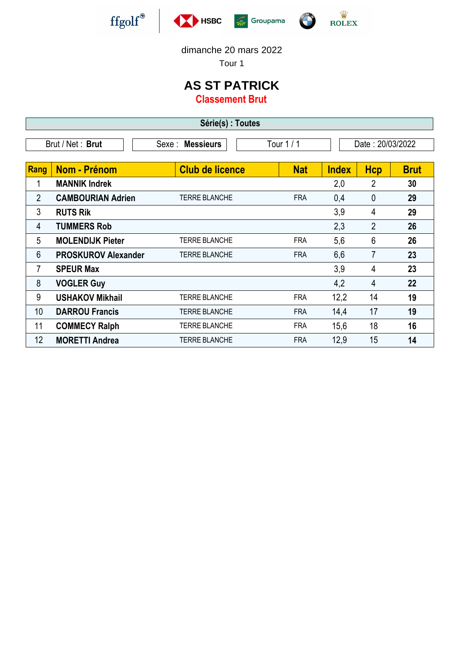

F





dimanche 20 mars 2022

Tour 1

## **AS ST PATRICK**

**Classement Brut**

| Série(s) :<br><b>Toutes</b> |                          |            |                    |  |  |  |  |  |
|-----------------------------|--------------------------|------------|--------------------|--|--|--|--|--|
| Brut / Net: Brut            | <b>Messieurs</b><br>Sexe | Tour 1 / 1 | 20/03/2022<br>Date |  |  |  |  |  |

| Rang            | <b>Nom - Prénom</b>        | <b>Club de licence</b> | <b>Nat</b> | <b>Index</b> | <b>Hcp</b>     | <b>Brut</b> |
|-----------------|----------------------------|------------------------|------------|--------------|----------------|-------------|
|                 | <b>MANNIK Indrek</b>       |                        |            | 2,0          | 2              | 30          |
| $\overline{2}$  | <b>CAMBOURIAN Adrien</b>   | <b>TERRE BLANCHE</b>   | <b>FRA</b> | 0,4          | $\overline{0}$ | 29          |
| 3               | <b>RUTS Rik</b>            |                        |            | 3,9          | 4              | 29          |
| 4               | <b>TUMMERS Rob</b>         |                        |            | 2,3          | $\overline{2}$ | 26          |
| 5               | <b>MOLENDIJK Pieter</b>    | <b>TERRE BLANCHE</b>   | <b>FRA</b> | 5,6          | 6              | 26          |
| 6               | <b>PROSKUROV Alexander</b> | <b>TERRE BLANCHE</b>   | <b>FRA</b> | 6,6          | 7              | 23          |
| 7               | <b>SPEUR Max</b>           |                        |            | 3,9          | 4              | 23          |
| 8               | <b>VOGLER Guy</b>          |                        |            | 4,2          | 4              | 22          |
| 9               | <b>USHAKOV Mikhail</b>     | <b>TERRE BLANCHE</b>   | <b>FRA</b> | 12,2         | 14             | 19          |
| 10 <sup>°</sup> | <b>DARROU Francis</b>      | <b>TERRE BLANCHE</b>   | <b>FRA</b> | 14,4         | 17             | 19          |
| 11              | <b>COMMECY Ralph</b>       | <b>TERRE BLANCHE</b>   | <b>FRA</b> | 15,6         | 18             | 16          |
| 12 <sup>2</sup> | <b>MORETTI Andrea</b>      | <b>TERRE BLANCHE</b>   | <b>FRA</b> | 12,9         | 15             | 14          |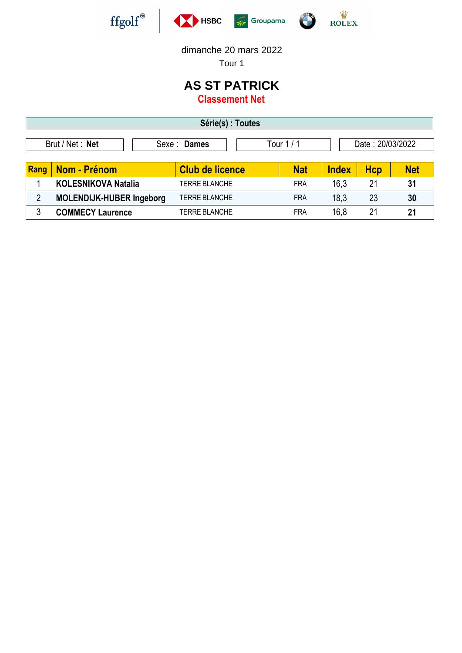





dimanche 20 mars 2022

Tour 1

## **AS ST PATRICK**

**Classement Net**

| Série(s) : Toutes                                                 |                                 |                        |            |              |            |            |  |
|-------------------------------------------------------------------|---------------------------------|------------------------|------------|--------------|------------|------------|--|
| Brut / Net : Net<br>Date: 20/03/2022<br>Tour $1/1$<br>Sexe: Dames |                                 |                        |            |              |            |            |  |
| Rang                                                              | <b>Nom - Prénom</b>             | <b>Club de licence</b> | <b>Nat</b> | <b>Index</b> | <b>Hcp</b> | <b>Net</b> |  |
|                                                                   | <b>KOLESNIKOVA Natalia</b>      | <b>TERRE BLANCHE</b>   | <b>FRA</b> | 16,3         | 21         | 31         |  |
| $\overline{2}$                                                    | <b>MOLENDIJK-HUBER Ingeborg</b> | <b>TERRE BLANCHE</b>   | <b>FRA</b> | 18,3         | 23         | 30         |  |
| 3                                                                 | <b>COMMECY Laurence</b>         | TERRE BLANCHE          | <b>FRA</b> | 16,8         | 21         | 21         |  |